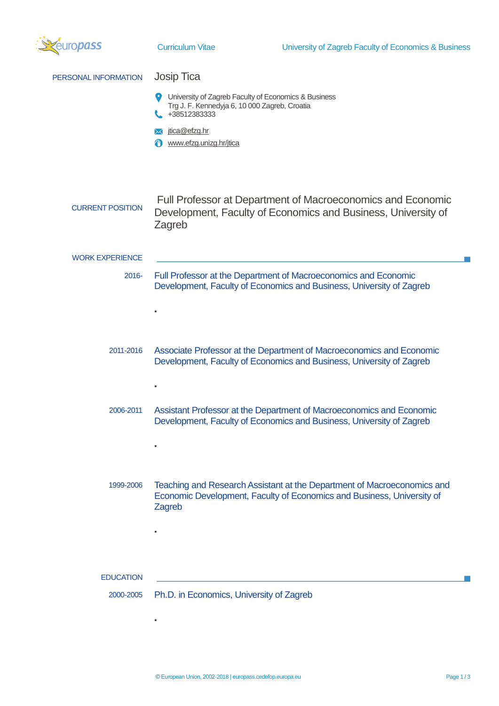| ropass                  | <b>Curriculum Vitae</b>                                                                                                                                                                     | University of Zagreb Faculty of Economics & Business                                                                                              |  |
|-------------------------|---------------------------------------------------------------------------------------------------------------------------------------------------------------------------------------------|---------------------------------------------------------------------------------------------------------------------------------------------------|--|
| PERSONAL INFORMATION    | <b>Josip Tica</b><br>University of Zagreb Faculty of Economics & Business<br>Trg J. F. Kennedyja 6, 10 000 Zagreb, Croatia<br>+38512383333<br>jtica@efzg.hr<br>www.efzg.unizg.hr/jtica<br>₩ |                                                                                                                                                   |  |
| <b>CURRENT POSITION</b> | Zagreb                                                                                                                                                                                      | Full Professor at Department of Macroeconomics and Economic<br>Development, Faculty of Economics and Business, University of                      |  |
| <b>WORK EXPERIENCE</b>  |                                                                                                                                                                                             |                                                                                                                                                   |  |
| $2016 -$                |                                                                                                                                                                                             | Full Professor at the Department of Macroeconomics and Economic<br>Development, Faculty of Economics and Business, University of Zagreb           |  |
|                         |                                                                                                                                                                                             |                                                                                                                                                   |  |
| 2011-2016               |                                                                                                                                                                                             | Associate Professor at the Department of Macroeconomics and Economic<br>Development, Faculty of Economics and Business, University of Zagreb      |  |
| 2006-2011               |                                                                                                                                                                                             | Assistant Professor at the Department of Macroeconomics and Economic<br>Development, Faculty of Economics and Business, University of Zagreb      |  |
|                         |                                                                                                                                                                                             |                                                                                                                                                   |  |
| 1999-2006               | Zagreb                                                                                                                                                                                      | Teaching and Research Assistant at the Department of Macroeconomics and<br>Economic Development, Faculty of Economics and Business, University of |  |
|                         |                                                                                                                                                                                             |                                                                                                                                                   |  |
| <b>EDUCATION</b>        |                                                                                                                                                                                             |                                                                                                                                                   |  |
| 2000-2005               | Ph.D. in Economics, University of Zagreb                                                                                                                                                    |                                                                                                                                                   |  |
|                         |                                                                                                                                                                                             |                                                                                                                                                   |  |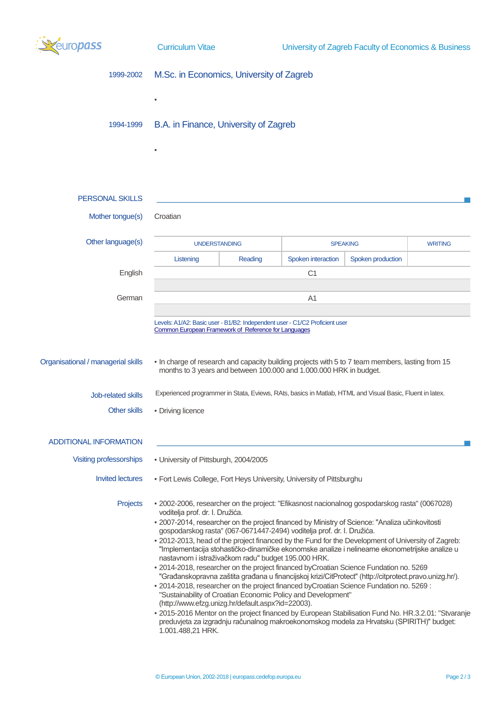

▪

▪

| 1999-2002 |  | M.Sc. in Economics, University of Zagreb |  |  |
|-----------|--|------------------------------------------|--|--|
|-----------|--|------------------------------------------|--|--|

1994-1999 B.A. in Finance, University of Zagreb

| <b>PERSONAL SKILLS</b>             |                                                                                                                                                                                                                                                                                             |         |                                                              |                                                                                          |                |
|------------------------------------|---------------------------------------------------------------------------------------------------------------------------------------------------------------------------------------------------------------------------------------------------------------------------------------------|---------|--------------------------------------------------------------|------------------------------------------------------------------------------------------|----------------|
| Mother tongue(s)                   | Croatian                                                                                                                                                                                                                                                                                    |         |                                                              |                                                                                          |                |
| Other language(s)                  | <b>UNDERSTANDING</b>                                                                                                                                                                                                                                                                        |         | <b>SPEAKING</b>                                              |                                                                                          | <b>WRITING</b> |
|                                    | Listening                                                                                                                                                                                                                                                                                   | Reading | Spoken interaction                                           | Spoken production                                                                        |                |
| English                            | C <sub>1</sub>                                                                                                                                                                                                                                                                              |         |                                                              |                                                                                          |                |
| German                             | A <sub>1</sub>                                                                                                                                                                                                                                                                              |         |                                                              |                                                                                          |                |
|                                    | Levels: A1/A2: Basic user - B1/B2: Independent user - C1/C2 Proficient user<br>Common European Framework of Reference for Languages                                                                                                                                                         |         |                                                              |                                                                                          |                |
| Organisational / managerial skills | - In charge of research and capacity building projects with 5 to 7 team members, lasting from 15<br>months to 3 years and between 100.000 and 1.000.000 HRK in budget.                                                                                                                      |         |                                                              |                                                                                          |                |
| Job-related skills                 | Experienced programmer in Stata, Eviews, RAts, basics in Matlab, HTML and Visual Basic, Fluent in latex.                                                                                                                                                                                    |         |                                                              |                                                                                          |                |
| <b>Other skills</b>                | • Driving licence                                                                                                                                                                                                                                                                           |         |                                                              |                                                                                          |                |
| <b>ADDITIONAL INFORMATION</b>      |                                                                                                                                                                                                                                                                                             |         |                                                              |                                                                                          |                |
| Visiting professorships            | • University of Pittsburgh, 2004/2005                                                                                                                                                                                                                                                       |         |                                                              |                                                                                          |                |
| <b>Invited lectures</b>            | - Fort Lewis College, Fort Heys University, University of Pittsburghu                                                                                                                                                                                                                       |         |                                                              |                                                                                          |                |
| Projects                           | - 2002-2006, researcher on the project: "Efikasnost nacionalnog gospodarskog rasta" (0067028)<br>voditelja prof. dr. I. Družića.<br>- 2007-2014, researcher on the project financed by Ministry of Science: "Analiza učinkovitosti                                                          |         |                                                              |                                                                                          |                |
|                                    | gospodarskog rasta" (067-0671447-2494) voditelja prof. dr. I. Družića.<br>- 2012-2013, head of the project financed by the Fund for the Development of University of Zagreb:                                                                                                                |         |                                                              |                                                                                          |                |
|                                    | "Implementacija stohastičko-dinamičke ekonomske analize i nelinearne ekonometrijske analize u<br>nastavnom i istraživačkom radu" budget 195.000 HRK.                                                                                                                                        |         |                                                              |                                                                                          |                |
|                                    | - 2014-2018, researcher on the project financed by Croatian Science Fundation no. 5269<br>"Građanskopravna zaštita građana u financijskoj krizi/CitProtect" (http://citprotect.pravo.unizg.hr/).<br>. 2014-2018, researcher on the project financed by Croatian Science Fundation no. 5269: |         |                                                              |                                                                                          |                |
|                                    | (http://www.efzg.unizg.hr/default.aspx?id=22003).                                                                                                                                                                                                                                           |         | "Sustainability of Croatian Economic Policy and Development" |                                                                                          |                |
|                                    | - 2015-2016 Mentor on the project financed by European Stabilisation Fund No. HR.3.2.01: "Stvaranje<br>1.001.488,21 HRK.                                                                                                                                                                    |         |                                                              | preduvjeta za izgradnju računalnog makroekonomskog modela za Hrvatsku (SPIRITH)" budget: |                |